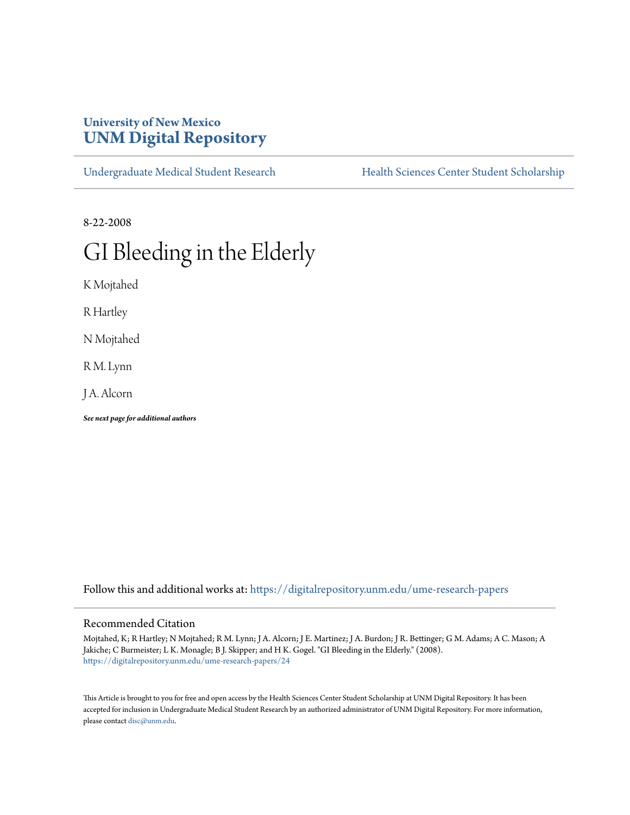# **University of New Mexico [UNM Digital Repository](https://digitalrepository.unm.edu?utm_source=digitalrepository.unm.edu%2Fume-research-papers%2F24&utm_medium=PDF&utm_campaign=PDFCoverPages)**

[Undergraduate Medical Student Research](https://digitalrepository.unm.edu/ume-research-papers?utm_source=digitalrepository.unm.edu%2Fume-research-papers%2F24&utm_medium=PDF&utm_campaign=PDFCoverPages) [Health Sciences Center Student Scholarship](https://digitalrepository.unm.edu/hsc-students?utm_source=digitalrepository.unm.edu%2Fume-research-papers%2F24&utm_medium=PDF&utm_campaign=PDFCoverPages)

8-22-2008

# GI Bleeding in the Elderly

K Mojtahed

R Hartley

N Mojtahed

R M. Lynn

J A. Alcorn

*See next page for additional authors*

Follow this and additional works at: [https://digitalrepository.unm.edu/ume-research-papers](https://digitalrepository.unm.edu/ume-research-papers?utm_source=digitalrepository.unm.edu%2Fume-research-papers%2F24&utm_medium=PDF&utm_campaign=PDFCoverPages)

#### Recommended Citation

Mojtahed, K; R Hartley; N Mojtahed; R M. Lynn; J A. Alcorn; J E. Martinez; J A. Burdon; J R. Bettinger; G M. Adams; A C. Mason; A Jakiche; C Burmeister; L K. Monagle; B J. Skipper; and H K. Gogel. "GI Bleeding in the Elderly." (2008). [https://digitalrepository.unm.edu/ume-research-papers/24](https://digitalrepository.unm.edu/ume-research-papers/24?utm_source=digitalrepository.unm.edu%2Fume-research-papers%2F24&utm_medium=PDF&utm_campaign=PDFCoverPages)

This Article is brought to you for free and open access by the Health Sciences Center Student Scholarship at UNM Digital Repository. It has been accepted for inclusion in Undergraduate Medical Student Research by an authorized administrator of UNM Digital Repository. For more information, please contact [disc@unm.edu.](mailto:disc@unm.edu)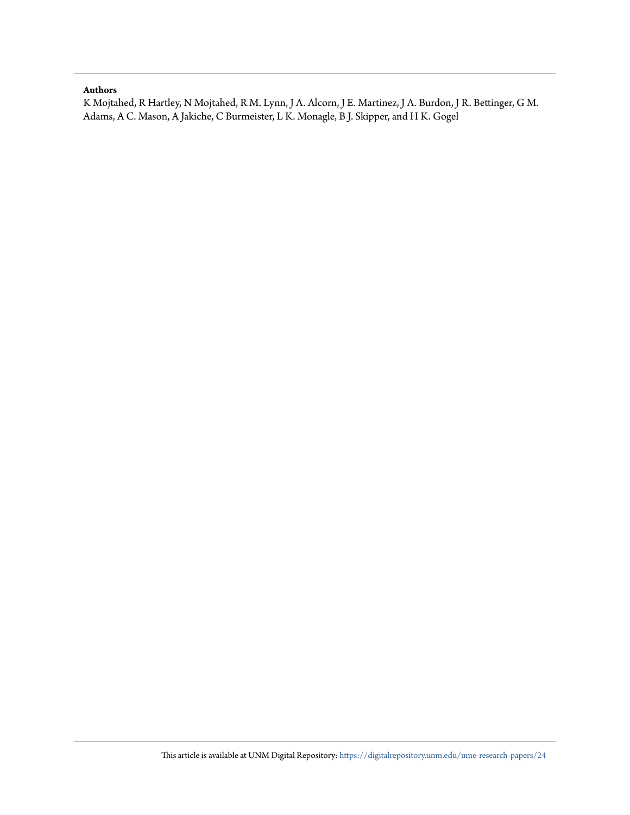#### **Authors**

K Mojtahed, R Hartley, N Mojtahed, R M. Lynn, J A. Alcorn, J E. Martinez, J A. Burdon, J R. Bettinger, G M. Adams, A C. Mason, A Jakiche, C Burmeister, L K. Monagle, B J. Skipper, and H K. Gogel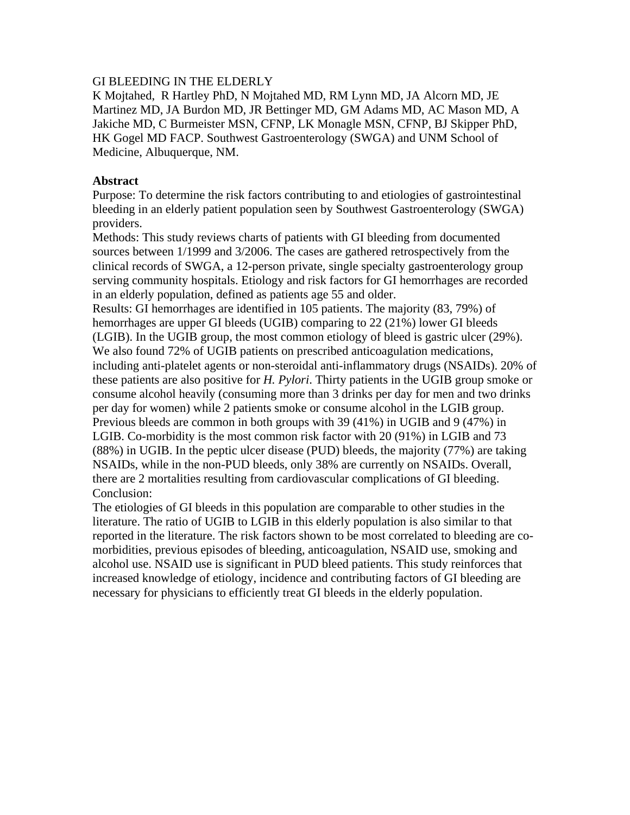## GI BLEEDING IN THE ELDERLY

K Mojtahed, R Hartley PhD, N Mojtahed MD, RM Lynn MD, JA Alcorn MD, JE Martinez MD, JA Burdon MD, JR Bettinger MD, GM Adams MD, AC Mason MD, A Jakiche MD, C Burmeister MSN, CFNP, LK Monagle MSN, CFNP, BJ Skipper PhD, HK Gogel MD FACP. Southwest Gastroenterology (SWGA) and UNM School of Medicine, Albuquerque, NM.

## **Abstract**

Purpose: To determine the risk factors contributing to and etiologies of gastrointestinal bleeding in an elderly patient population seen by Southwest Gastroenterology (SWGA) providers.

Methods: This study reviews charts of patients with GI bleeding from documented sources between 1/1999 and 3/2006. The cases are gathered retrospectively from the clinical records of SWGA, a 12-person private, single specialty gastroenterology group serving community hospitals. Etiology and risk factors for GI hemorrhages are recorded in an elderly population, defined as patients age 55 and older.

Results: GI hemorrhages are identified in 105 patients. The majority (83, 79%) of hemorrhages are upper GI bleeds (UGIB) comparing to 22 (21%) lower GI bleeds (LGIB). In the UGIB group, the most common etiology of bleed is gastric ulcer (29%). We also found 72% of UGIB patients on prescribed anticoagulation medications, including anti-platelet agents or non-steroidal anti-inflammatory drugs (NSAIDs). 20% of these patients are also positive for *H. Pylori*. Thirty patients in the UGIB group smoke or consume alcohol heavily (consuming more than 3 drinks per day for men and two drinks per day for women) while 2 patients smoke or consume alcohol in the LGIB group. Previous bleeds are common in both groups with 39 (41%) in UGIB and 9 (47%) in LGIB. Co-morbidity is the most common risk factor with 20 (91%) in LGIB and 73 (88%) in UGIB. In the peptic ulcer disease (PUD) bleeds, the majority (77%) are taking NSAIDs, while in the non-PUD bleeds, only 38% are currently on NSAIDs. Overall, there are 2 mortalities resulting from cardiovascular complications of GI bleeding. Conclusion:

The etiologies of GI bleeds in this population are comparable to other studies in the literature. The ratio of UGIB to LGIB in this elderly population is also similar to that reported in the literature. The risk factors shown to be most correlated to bleeding are comorbidities, previous episodes of bleeding, anticoagulation, NSAID use, smoking and alcohol use. NSAID use is significant in PUD bleed patients. This study reinforces that increased knowledge of etiology, incidence and contributing factors of GI bleeding are necessary for physicians to efficiently treat GI bleeds in the elderly population.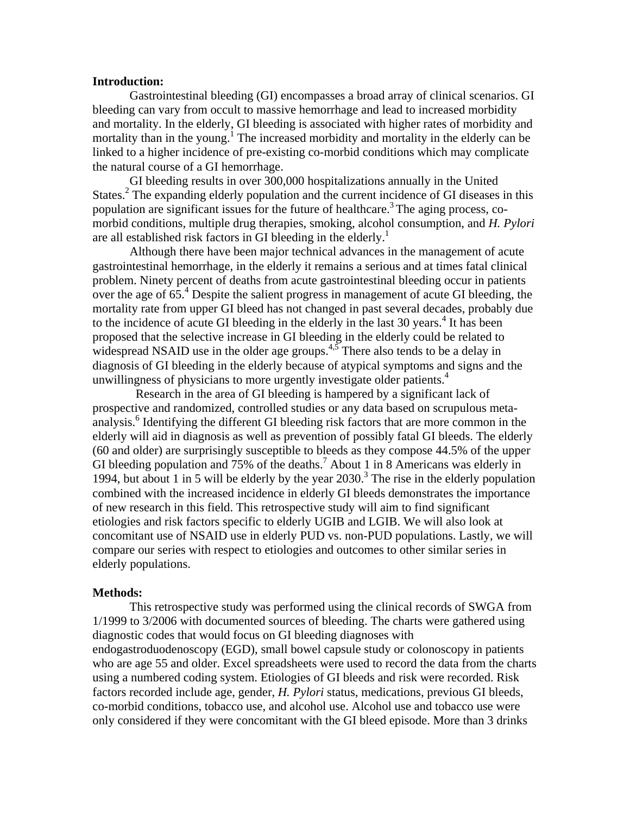#### **Introduction:**

Gastrointestinal bleeding (GI) encompasses a broad array of clinical scenarios. GI bleeding can vary from occult to massive hemorrhage and lead to increased morbidity and mortality. In the elderly, GI bleeding is associated with higher rates of morbidity and mortality than in the young.<sup>1</sup> The increased morbidity and mortality in the elderly can be linked to a higher incidence of pre-existing co-morbid conditions which may complicate the natural course of a GI hemorrhage.

GI bleeding results in over 300,000 hospitalizations annually in the United States.<sup>2</sup> The expanding elderly population and the current incidence of GI diseases in this population are significant issues for the future of healthcare.<sup>3</sup> The aging process, comorbid conditions, multiple drug therapies, smoking, alcohol consumption, and *H. Pylori* are all established risk factors in GI bleeding in the elderly.<sup>1</sup>

 Although there have been major technical advances in the management of acute gastrointestinal hemorrhage, in the elderly it remains a serious and at times fatal clinical problem. Ninety percent of deaths from acute gastrointestinal bleeding occur in patients over the age of 65.<sup>4</sup> Despite the salient progress in management of acute GI bleeding, the mortality rate from upper GI bleed has not changed in past several decades, probably due to the incidence of acute GI bleeding in the elderly in the last 30 years. $4$  It has been proposed that the selective increase in GI bleeding in the elderly could be related to widespread NSAID use in the older age groups.<sup>4,5</sup> There also tends to be a delay in diagnosis of GI bleeding in the elderly because of atypical symptoms and signs and the unwillingness of physicians to more urgently investigate older patients. $4$ 

 Research in the area of GI bleeding is hampered by a significant lack of prospective and randomized, controlled studies or any data based on scrupulous metaanalysis.<sup>6</sup> Identifying the different GI bleeding risk factors that are more common in the elderly will aid in diagnosis as well as prevention of possibly fatal GI bleeds. The elderly (60 and older) are surprisingly susceptible to bleeds as they compose 44.5% of the upper GI bleeding population and 75% of the deaths.<sup>7</sup> About 1 in 8 Americans was elderly in 1994, but about 1 in 5 will be elderly by the year  $2030$ .<sup>3</sup> The rise in the elderly population combined with the increased incidence in elderly GI bleeds demonstrates the importance of new research in this field. This retrospective study will aim to find significant etiologies and risk factors specific to elderly UGIB and LGIB. We will also look at concomitant use of NSAID use in elderly PUD vs. non-PUD populations. Lastly, we will compare our series with respect to etiologies and outcomes to other similar series in elderly populations.

#### **Methods:**

This retrospective study was performed using the clinical records of SWGA from 1/1999 to 3/2006 with documented sources of bleeding. The charts were gathered using diagnostic codes that would focus on GI bleeding diagnoses with endogastroduodenoscopy (EGD), small bowel capsule study or colonoscopy in patients who are age 55 and older. Excel spreadsheets were used to record the data from the charts using a numbered coding system. Etiologies of GI bleeds and risk were recorded. Risk factors recorded include age, gender, *H. Pylori* status, medications, previous GI bleeds, co-morbid conditions, tobacco use, and alcohol use. Alcohol use and tobacco use were only considered if they were concomitant with the GI bleed episode. More than 3 drinks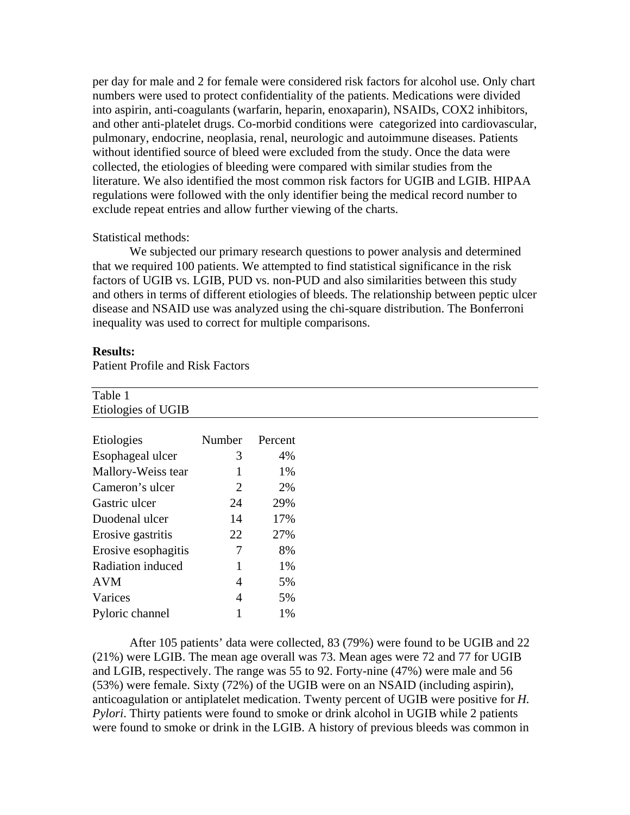per day for male and 2 for female were considered risk factors for alcohol use. Only chart numbers were used to protect confidentiality of the patients. Medications were divided into aspirin, anti-coagulants (warfarin, heparin, enoxaparin), NSAIDs, COX2 inhibitors, and other anti-platelet drugs. Co-morbid conditions were categorized into cardiovascular, pulmonary, endocrine, neoplasia, renal, neurologic and autoimmune diseases. Patients without identified source of bleed were excluded from the study. Once the data were collected, the etiologies of bleeding were compared with similar studies from the literature. We also identified the most common risk factors for UGIB and LGIB. HIPAA regulations were followed with the only identifier being the medical record number to exclude repeat entries and allow further viewing of the charts.

#### Statistical methods:

We subjected our primary research questions to power analysis and determined that we required 100 patients. We attempted to find statistical significance in the risk factors of UGIB vs. LGIB, PUD vs. non-PUD and also similarities between this study and others in terms of different etiologies of bleeds. The relationship between peptic ulcer disease and NSAID use was analyzed using the chi-square distribution. The Bonferroni inequality was used to correct for multiple comparisons.

#### **Results:**

Patient Profile and Risk Factors

Varices 4 5% Pyloric channel 1 1%

| Table 1             |        |         |
|---------------------|--------|---------|
| Etiologies of UGIB  |        |         |
|                     |        |         |
| Etiologies          | Number | Percent |
| Esophageal ulcer    | 3      | 4%      |
| Mallory-Weiss tear  |        | 1%      |
| Cameron's ulcer     | 2      | 2%      |
| Gastric ulcer       | 24     | 29%     |
| Duodenal ulcer      | 14     | 17%     |
| Erosive gastritis   | 22     | 27%     |
| Erosive esophagitis | 7      | 8%      |
| Radiation induced   |        | 1%      |
| <b>AVM</b>          | 4      | 5%      |

After 105 patients' data were collected, 83 (79%) were found to be UGIB and 22 (21%) were LGIB. The mean age overall was 73. Mean ages were 72 and 77 for UGIB and LGIB, respectively. The range was 55 to 92. Forty-nine (47%) were male and 56 (53%) were female. Sixty (72%) of the UGIB were on an NSAID (including aspirin), anticoagulation or antiplatelet medication. Twenty percent of UGIB were positive for *H. Pylori*. Thirty patients were found to smoke or drink alcohol in UGIB while 2 patients were found to smoke or drink in the LGIB. A history of previous bleeds was common in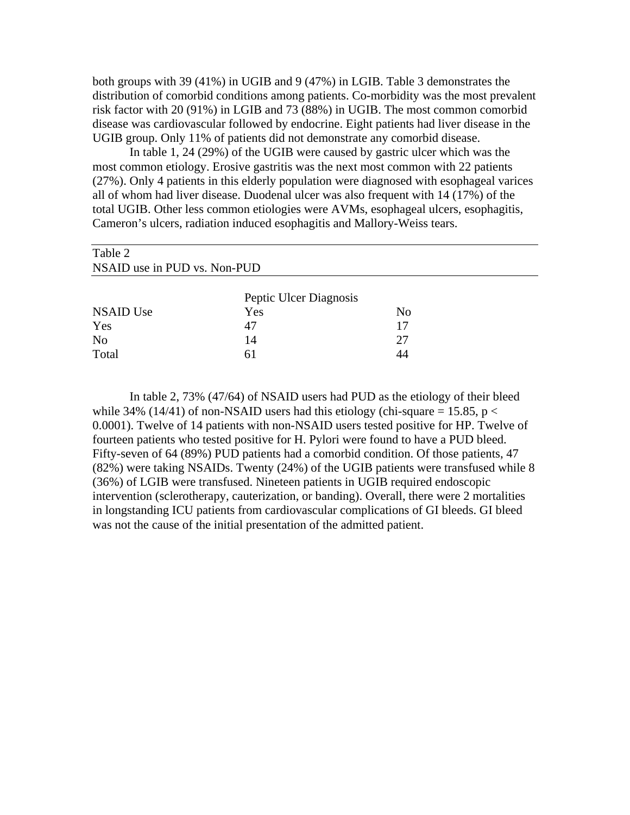both groups with 39 (41%) in UGIB and 9 (47%) in LGIB. Table 3 demonstrates the distribution of comorbid conditions among patients. Co-morbidity was the most prevalent risk factor with 20 (91%) in LGIB and 73 (88%) in UGIB. The most common comorbid disease was cardiovascular followed by endocrine. Eight patients had liver disease in the UGIB group. Only 11% of patients did not demonstrate any comorbid disease.

In table 1, 24 (29%) of the UGIB were caused by gastric ulcer which was the most common etiology. Erosive gastritis was the next most common with 22 patients (27%). Only 4 patients in this elderly population were diagnosed with esophageal varices all of whom had liver disease. Duodenal ulcer was also frequent with 14 (17%) of the total UGIB. Other less common etiologies were AVMs, esophageal ulcers, esophagitis, Cameron's ulcers, radiation induced esophagitis and Mallory-Weiss tears.

| Table 2                      |                        |    |  |  |
|------------------------------|------------------------|----|--|--|
| NSAID use in PUD vs. Non-PUD |                        |    |  |  |
|                              | Peptic Ulcer Diagnosis |    |  |  |
| <b>NSAID Use</b>             | Yes                    | No |  |  |
| Yes                          | 47                     | 17 |  |  |
| N <sub>0</sub>               | 14                     | 27 |  |  |
| Total                        | 61                     | 44 |  |  |

In table 2, 73% (47/64) of NSAID users had PUD as the etiology of their bleed while 34% (14/41) of non-NSAID users had this etiology (chi-square = 15.85,  $p <$ 0.0001). Twelve of 14 patients with non-NSAID users tested positive for HP. Twelve of fourteen patients who tested positive for H. Pylori were found to have a PUD bleed. Fifty-seven of 64 (89%) PUD patients had a comorbid condition. Of those patients, 47 (82%) were taking NSAIDs. Twenty (24%) of the UGIB patients were transfused while 8 (36%) of LGIB were transfused. Nineteen patients in UGIB required endoscopic intervention (sclerotherapy, cauterization, or banding). Overall, there were 2 mortalities in longstanding ICU patients from cardiovascular complications of GI bleeds. GI bleed was not the cause of the initial presentation of the admitted patient.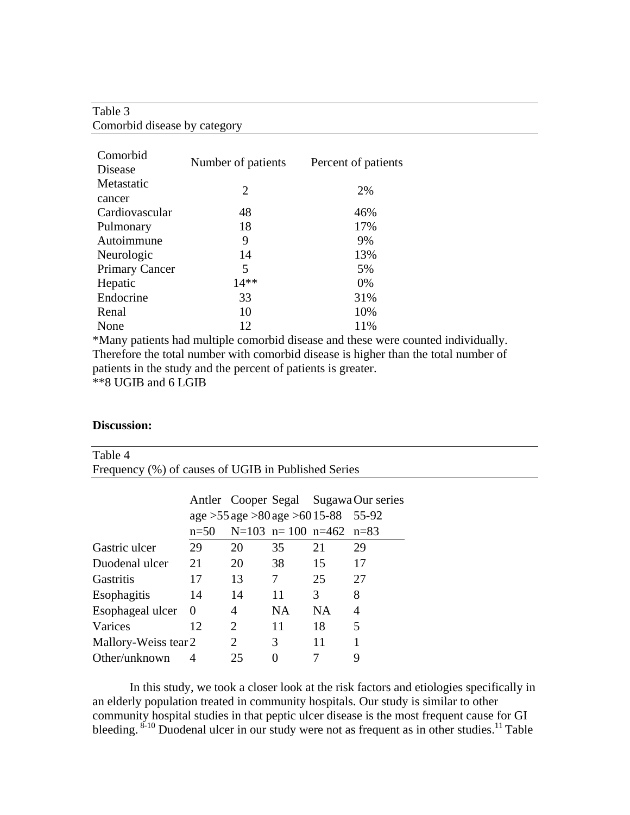# Table 3 Comorbid disease by category

| Comorbid              |                    |                     |  |  |
|-----------------------|--------------------|---------------------|--|--|
| Disease               | Number of patients | Percent of patients |  |  |
| Metastatic            | 2                  | 2%                  |  |  |
| cancer                |                    |                     |  |  |
| Cardiovascular        | 48                 | 46%                 |  |  |
| Pulmonary             | 18                 | 17%                 |  |  |
| Autoimmune            | 9                  | 9%                  |  |  |
| Neurologic            | 14                 | 13%                 |  |  |
| <b>Primary Cancer</b> | 5                  | 5%                  |  |  |
| Hepatic               | $14**$             | $0\%$               |  |  |
| Endocrine             | 33                 | 31%                 |  |  |
| Renal                 | 10                 | 10%                 |  |  |
| None                  | 12                 | 11%                 |  |  |

\*Many patients had multiple comorbid disease and these were counted individually. Therefore the total number with comorbid disease is higher than the total number of patients in the study and the percent of patients is greater.

\*\*8 UGIB and 6 LGIB

#### **Discussion:**

| Table 4                                             |                                           |                         |     |           |                                       |  |  |
|-----------------------------------------------------|-------------------------------------------|-------------------------|-----|-----------|---------------------------------------|--|--|
| Frequency (%) of causes of UGIB in Published Series |                                           |                         |     |           |                                       |  |  |
|                                                     |                                           |                         |     |           |                                       |  |  |
|                                                     |                                           |                         |     |           | Antler Cooper Segal Sugawa Our series |  |  |
|                                                     | age $>55$ age $>80$ age $>60$ 15-88 55-92 |                         |     |           |                                       |  |  |
|                                                     | $n=50$                                    | N=103 n= 100 n=462 n=83 |     |           |                                       |  |  |
| Gastric ulcer                                       | 29                                        | 20                      | 35  | 21        | 29                                    |  |  |
| Duodenal ulcer                                      | 21                                        | 20                      | 38  | 15        | 17                                    |  |  |
| <b>Gastritis</b>                                    | 17                                        | 13                      | 7   | 25        | 27                                    |  |  |
| Esophagitis                                         | 14                                        | 14                      | 11  | 3         | 8                                     |  |  |
| Esophageal ulcer                                    | $\Omega$                                  | $\overline{4}$          | NA. | <b>NA</b> | 4                                     |  |  |
| Varices                                             | 12                                        | $\overline{2}$          | 11  | 18        | 5                                     |  |  |
| Mallory-Weiss tear 2                                |                                           | 2                       | 3   | 11        |                                       |  |  |
| Other/unknown                                       | 4                                         | 25                      | 0   |           | 9                                     |  |  |

In this study, we took a closer look at the risk factors and etiologies specifically in an elderly population treated in community hospitals. Our study is similar to other community hospital studies in that peptic ulcer disease is the most frequent cause for GI bleeding. <sup>8-10</sup> Duodenal ulcer in our study were not as frequent as in other studies.<sup>11</sup> Table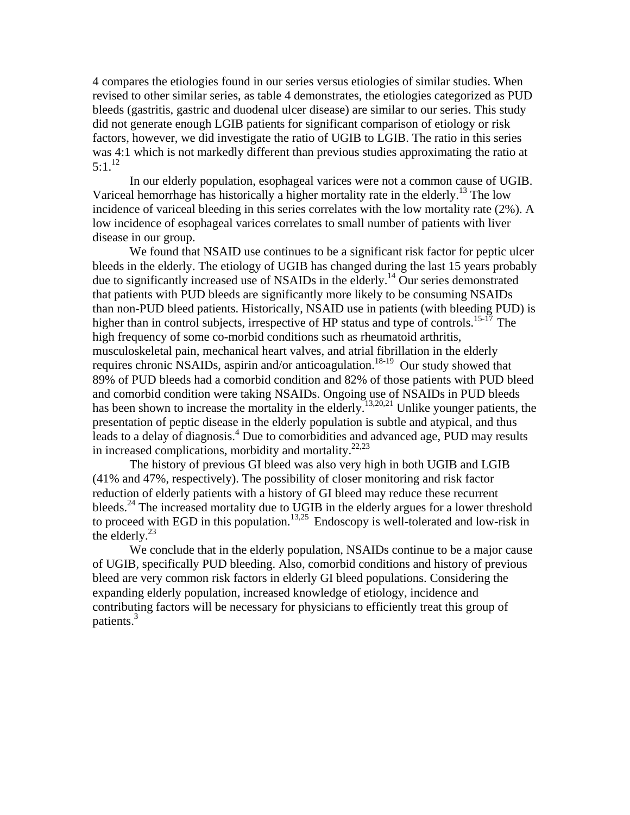4 compares the etiologies found in our series versus etiologies of similar studies. When revised to other similar series, as table 4 demonstrates, the etiologies categorized as PUD bleeds (gastritis, gastric and duodenal ulcer disease) are similar to our series. This study did not generate enough LGIB patients for significant comparison of etiology or risk factors, however, we did investigate the ratio of UGIB to LGIB. The ratio in this series was 4:1 which is not markedly different than previous studies approximating the ratio at  $5:1^{12}$ 

In our elderly population, esophageal varices were not a common cause of UGIB. Variceal hemorrhage has historically a higher mortality rate in the elderly.<sup>13</sup> The low incidence of variceal bleeding in this series correlates with the low mortality rate (2%). A low incidence of esophageal varices correlates to small number of patients with liver disease in our group.

We found that NSAID use continues to be a significant risk factor for peptic ulcer bleeds in the elderly. The etiology of UGIB has changed during the last 15 years probably due to significantly increased use of NSAIDs in the elderly.<sup>14</sup> Our series demonstrated that patients with PUD bleeds are significantly more likely to be consuming NSAIDs than non-PUD bleed patients. Historically, NSAID use in patients (with bleeding PUD) is higher than in control subjects, irrespective of HP status and type of controls.<sup>15-17</sup> The high frequency of some co-morbid conditions such as rheumatoid arthritis, musculoskeletal pain, mechanical heart valves, and atrial fibrillation in the elderly requires chronic NSAIDs, aspirin and/or anticoagulation.18-19 Our study showed that 89% of PUD bleeds had a comorbid condition and 82% of those patients with PUD bleed and comorbid condition were taking NSAIDs. Ongoing use of NSAIDs in PUD bleeds has been shown to increase the mortality in the elderly.<sup>13,20,21</sup> Unlike younger patients, the presentation of peptic disease in the elderly population is subtle and atypical, and thus leads to a delay of diagnosis.<sup>4</sup> Due to comorbidities and advanced age, PUD may results in increased complications, morbidity and mortality. $22,23$ 

The history of previous GI bleed was also very high in both UGIB and LGIB (41% and 47%, respectively). The possibility of closer monitoring and risk factor reduction of elderly patients with a history of GI bleed may reduce these recurrent bleeds.<sup>24</sup> The increased mortality due to UGIB in the elderly argues for a lower threshold to proceed with EGD in this population.<sup>13,25</sup> Endoscopy is well-tolerated and low-risk in the elderly. $^{23}$ 

We conclude that in the elderly population, NSAIDs continue to be a major cause of UGIB, specifically PUD bleeding. Also, comorbid conditions and history of previous bleed are very common risk factors in elderly GI bleed populations. Considering the expanding elderly population, increased knowledge of etiology, incidence and contributing factors will be necessary for physicians to efficiently treat this group of patients. $3$